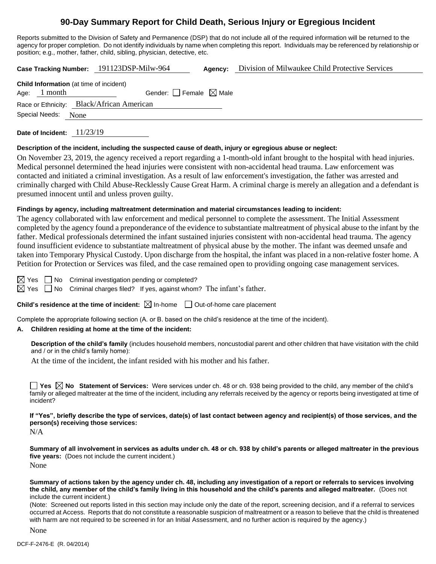# **90-Day Summary Report for Child Death, Serious Injury or Egregious Incident**

Reports submitted to the Division of Safety and Permanence (DSP) that do not include all of the required information will be returned to the agency for proper completion. Do not identify individuals by name when completing this report. Individuals may be referenced by relationship or position; e.g., mother, father, child, sibling, physician, detective, etc.

**Case Tracking Number:** 191123DSP-Milw-964 **Agency:** Division of Milwaukee Child Protective Services

|                     |                | <b>Child Information</b> (at time of incident) |
|---------------------|----------------|------------------------------------------------|
|                     | Age: $1$ month | Gender: Female $\boxtimes$ Male                |
|                     |                | Race or Ethnicity: Black/African American      |
| Special Needs: None |                |                                                |
|                     |                |                                                |

**Date of Incident:** 11/23/19

#### **Description of the incident, including the suspected cause of death, injury or egregious abuse or neglect:**

On November 23, 2019, the agency received a report regarding a 1-month-old infant brought to the hospital with head injuries. Medical personnel determined the head injuries were consistent with non-accidental head trauma. Law enforcement was contacted and initiated a criminal investigation. As a result of law enforcement's investigation, the father was arrested and criminally charged with Child Abuse-Recklessly Cause Great Harm. A criminal charge is merely an allegation and a defendant is presumed innocent until and unless proven guilty.

#### **Findings by agency, including maltreatment determination and material circumstances leading to incident:**

The agency collaborated with law enforcement and medical personnel to complete the assessment. The Initial Assessment completed by the agency found a preponderance of the evidence to substantiate maltreatment of physical abuse to the infant by the father. Medical professionals determined the infant sustained injuries consistent with non-accidental head trauma. The agency found insufficient evidence to substantiate maltreatment of physical abuse by the mother. The infant was deemed unsafe and taken into Temporary Physical Custody. Upon discharge from the hospital, the infant was placed in a non-relative foster home. A Petition for Protection or Services was filed, and the case remained open to providing ongoing case management services.

 $\boxtimes$  Yes  $\Box$  No Criminal investigation pending or completed?

 $\boxtimes$  Yes  $\Box$  No Criminal charges filed? If yes, against whom? The infant's father.

#### **Child's residence at the time of incident:**  $\boxtimes$  In-home  $\Box$  Out-of-home care placement

Complete the appropriate following section (A. or B. based on the child's residence at the time of the incident).

#### **A. Children residing at home at the time of the incident:**

**Description of the child's family** (includes household members, noncustodial parent and other children that have visitation with the child and / or in the child's family home):

At the time of the incident, the infant resided with his mother and his father.

**Yes**  $\boxtimes$  **No** Statement of Services: Were services under ch. 48 or ch. 938 being provided to the child, any member of the child's family or alleged maltreater at the time of the incident, including any referrals received by the agency or reports being investigated at time of incident?

**If "Yes", briefly describe the type of services, date(s) of last contact between agency and recipient(s) of those services, and the person(s) receiving those services:**

N/A

**Summary of all involvement in services as adults under ch. 48 or ch. 938 by child's parents or alleged maltreater in the previous five years:** (Does not include the current incident.)

None

**Summary of actions taken by the agency under ch. 48, including any investigation of a report or referrals to services involving the child, any member of the child's family living in this household and the child's parents and alleged maltreater.** (Does not include the current incident.)

(Note: Screened out reports listed in this section may include only the date of the report, screening decision, and if a referral to services occurred at Access. Reports that do not constitute a reasonable suspicion of maltreatment or a reason to believe that the child is threatened with harm are not required to be screened in for an Initial Assessment, and no further action is required by the agency.)

None